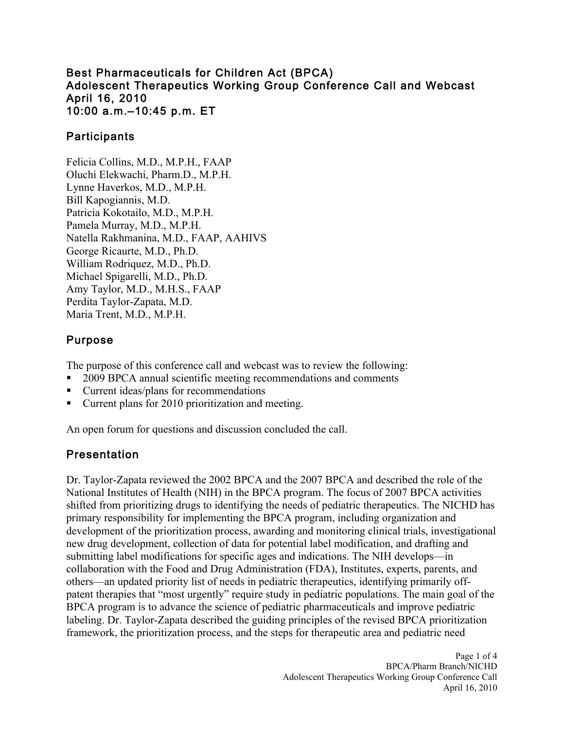#### Best Pharmaceuticals for Children Act (BPCA) Adolescent Therapeutics Working Group Conference Call and Webcast April 16, 2010 10:00 a.m.–10:45 p.m. ET

### **Participants**

Felicia Collins, M.D., M.P.H., FAAP Oluchi Elekwachi, Pharm.D., M.P.H. Lynne Haverkos, M.D., M.P.H. Bill Kapogiannis, M.D. Patricia Kokotailo, M.D., M.P.H. Pamela Murray, M.D., M.P.H. Natella Rakhmanina, M.D., FAAP, AAHIVS George Ricaurte, M.D., Ph.D. William Rodriquez, M.D., Ph.D. Michael Spigarelli, M.D., Ph.D. Amy Taylor, M.D., M.H.S., FAAP Perdita Taylor-Zapata, M.D. Maria Trent, M.D., M.P.H.

### Purpose

The purpose of this conference call and webcast was to review the following:

- 2009 BPCA annual scientific meeting recommendations and comments
- Current ideas/plans for recommendations
- **Current plans for 2010 prioritization and meeting.**

An open forum for questions and discussion concluded the call.

### Presentation

Dr. Taylor-Zapata reviewed the 2002 BPCA and the 2007 BPCA and described the role of the National Institutes of Health (NIH) in the BPCA program. The focus of 2007 BPCA activities shifted from prioritizing drugs to identifying the needs of pediatric therapeutics. The NICHD has primary responsibility for implementing the BPCA program, including organization and development of the prioritization process, awarding and monitoring clinical trials, investigational new drug development, collection of data for potential label modification, and drafting and submitting label modifications for specific ages and indications. The NIH develops—in collaboration with the Food and Drug Administration (FDA), Institutes, experts, parents, and others—an updated priority list of needs in pediatric therapeutics, identifying primarily offpatent therapies that "most urgently" require study in pediatric populations. The main goal of the BPCA program is to advance the science of pediatric pharmaceuticals and improve pediatric labeling. Dr. Taylor-Zapata described the guiding principles of the revised BPCA prioritization framework, the prioritization process, and the steps for therapeutic area and pediatric need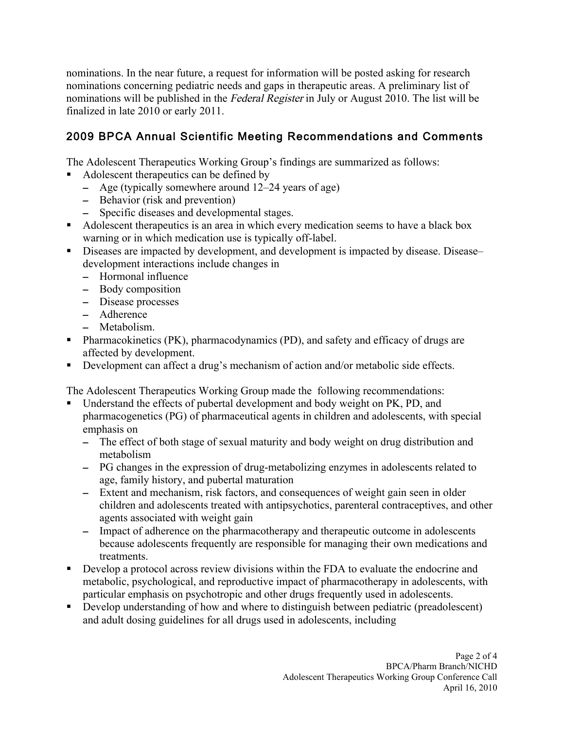nominations. In the near future, a request for information will be posted asking for research nominations concerning pediatric needs and gaps in therapeutic areas. A preliminary list of nominations will be published in the Federal Register in July or August 2010. The list will be finalized in late 2010 or early 2011.

# 2009 BPCA Annual Scientific Meeting Recommendations and Comments

The Adolescent Therapeutics Working Group's findings are summarized as follows:

- Adolescent therapeutics can be defined by
	- – Age (typically somewhere around 12–24 years of age)
	- – Behavior (risk and prevention)
	- – Specific diseases and developmental stages.
- Adolescent therapeutics is an area in which every medication seems to have a black box warning or in which medication use is typically off-label.
- Diseases are impacted by development, and development is impacted by disease. Disease– development interactions include changes in
	- – Hormonal influence
	- – Body composition
	- – Disease processes
	- – Adherence
	- – Metabolism.
- Pharmacokinetics (PK), pharmacodynamics (PD), and safety and efficacy of drugs are affected by development.
- Development can affect a drug's mechanism of action and/or metabolic side effects.

The Adolescent Therapeutics Working Group made the following recommendations:

- Understand the effects of pubertal development and body weight on PK, PD, and pharmacogenetics (PG) of pharmaceutical agents in children and adolescents, with special emphasis on
	- The effect of both stage of sexual maturity and body weight on drug distribution and metabolism
	- – PG changes in the expression of drug-metabolizing enzymes in adolescents related to age, family history, and pubertal maturation
	- Extent and mechanism, risk factors, and consequences of weight gain seen in older children and adolescents treated with antipsychotics, parenteral contraceptives, and other agents associated with weight gain
	- – Impact of adherence on the pharmacotherapy and therapeutic outcome in adolescents because adolescents frequently are responsible for managing their own medications and treatments.
- Develop a protocol across review divisions within the FDA to evaluate the endocrine and metabolic, psychological, and reproductive impact of pharmacotherapy in adolescents, with particular emphasis on psychotropic and other drugs frequently used in adolescents.
- Develop understanding of how and where to distinguish between pediatric (preadolescent) and adult dosing guidelines for all drugs used in adolescents, including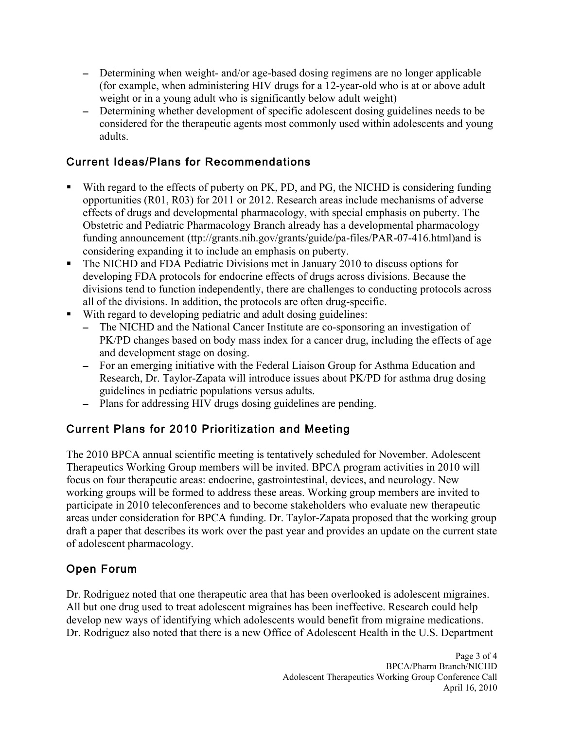- – Determining when weight- and/or age-based dosing regimens are no longer applicable (for example, when administering HIV drugs for a 12-year-old who is at or above adult weight or in a young adult who is significantly below adult weight)
- Determining whether development of specific adolescent dosing guidelines needs to be considered for the therapeutic agents most commonly used within adolescents and young adults.

# Current Ideas/Plans for Recommendations

- With regard to the effects of puberty on PK, PD, and PG, the NICHD is considering funding opportunities (R01, R03) for 2011 or 2012. Research areas include mechanisms of adverse effects of drugs and developmental pharmacology, with special emphasis on puberty. The Obstetric and Pediatric Pharmacology Branch already has a developmental pharmacology funding announcement (ttp://grants.nih.gov/grants/guide/pa-files/PAR-07-416.html)and is considering expanding it to include an emphasis on puberty.
- The NICHD and FDA Pediatric Divisions met in January 2010 to discuss options for developing FDA protocols for endocrine effects of drugs across divisions. Because the divisions tend to function independently, there are challenges to conducting protocols across all of the divisions. In addition, the protocols are often drug-specific.
- With regard to developing pediatric and adult dosing guidelines:
	- The NICHD and the National Cancer Institute are co-sponsoring an investigation of PK/PD changes based on body mass index for a cancer drug, including the effects of age and development stage on dosing.
	- – For an emerging initiative with the Federal Liaison Group for Asthma Education and Research, Dr. Taylor-Zapata will introduce issues about PK/PD for asthma drug dosing guidelines in pediatric populations versus adults.
	- Plans for addressing HIV drugs dosing guidelines are pending.

# Current Plans for 2010 Prioritization and Meeting

The 2010 BPCA annual scientific meeting is tentatively scheduled for November. Adolescent Therapeutics Working Group members will be invited. BPCA program activities in 2010 will focus on four therapeutic areas: endocrine, gastrointestinal, devices, and neurology. New working groups will be formed to address these areas. Working group members are invited to participate in 2010 teleconferences and to become stakeholders who evaluate new therapeutic areas under consideration for BPCA funding. Dr. Taylor-Zapata proposed that the working group draft a paper that describes its work over the past year and provides an update on the current state of adolescent pharmacology.

### Open Forum

Dr. Rodriguez noted that one therapeutic area that has been overlooked is adolescent migraines. All but one drug used to treat adolescent migraines has been ineffective. Research could help develop new ways of identifying which adolescents would benefit from migraine medications. Dr. Rodriguez also noted that there is a new Office of Adolescent Health in the U.S. Department